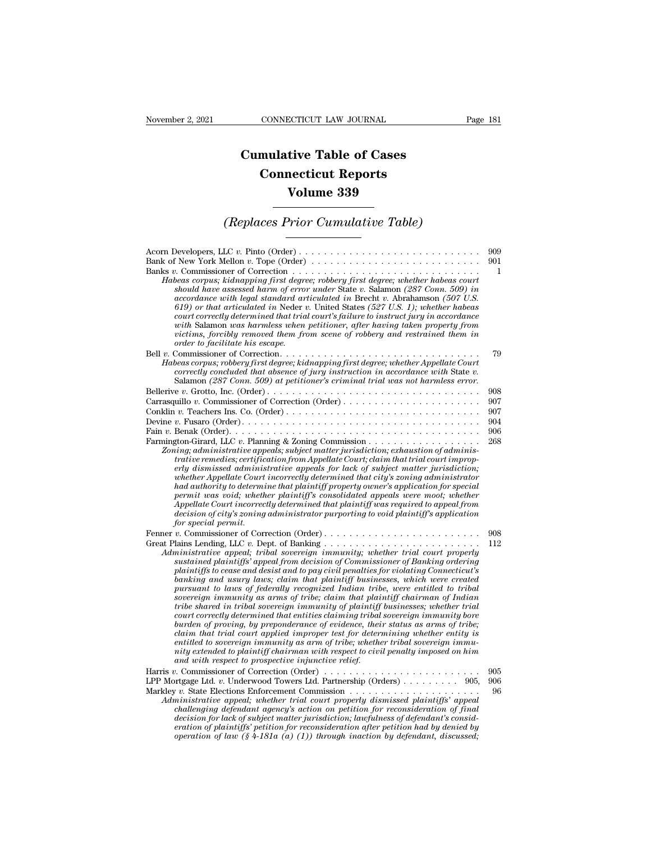## **CONNECTICUT LAW JOURNAL**<br> **Cumulative Table of Cases<br>
Connecticut Reports CONNECTICUT LAW JOURNAL**<br> **CONNECTICUT LAW JOURNAL**<br> **CONNECTICUT Reports<br>
Volume 339 ECTICUT LAW JOURNAL**<br> **Volume 339**<br> **Volume 339**<br> **Volume 339** *Cumulative Table of Cases<br>
Connecticut Reports<br>
Volume 339<br>
<i>(Replaces Prior Cumulative Table)*

| Volume 339                                                                                                                                                                                                                                                                                                                                                                                                                                                                                                                                                                                                                                                                                                                                                                                                                                                                                                                                                                                                                                                                                                                          |                                        |
|-------------------------------------------------------------------------------------------------------------------------------------------------------------------------------------------------------------------------------------------------------------------------------------------------------------------------------------------------------------------------------------------------------------------------------------------------------------------------------------------------------------------------------------------------------------------------------------------------------------------------------------------------------------------------------------------------------------------------------------------------------------------------------------------------------------------------------------------------------------------------------------------------------------------------------------------------------------------------------------------------------------------------------------------------------------------------------------------------------------------------------------|----------------------------------------|
| <i>(Replaces Prior Cumulative Table)</i>                                                                                                                                                                                                                                                                                                                                                                                                                                                                                                                                                                                                                                                                                                                                                                                                                                                                                                                                                                                                                                                                                            |                                        |
| Bank of New York Mellon v. Tope (Order)<br>Banks v. Commissioner of Correction $\dots \dots \dots \dots \dots \dots \dots \dots \dots \dots \dots \dots$<br>Habeas corpus; kidnapping first degree; robbery first degree; whether habeas court<br>should have assessed harm of error under State v. Salamon (287 Conn. 509) in<br>$accordance$ with legal standard articulated in Brecht v. Abrahamson (507 U.S.<br>619) or that articulated in Neder v. United States $(527 \text{ U.S. 1})$ ; whether habeas<br>court correctly determined that trial court's failure to instruct jury in accordance<br>with Salamon was harmless when petitioner, after having taken property from<br>victims, forcibly removed them from scene of robbery and restrained them in<br>order to facilitate his escape.                                                                                                                                                                                                                                                                                                                             | 909<br>901<br>1                        |
| Habeas corpus; robbery first degree; kidnapping first degree; whether Appellate Court<br>correctly concluded that absence of jury instruction in accordance with State $v$ .<br>Salamon (287 Conn. 509) at petitioner's criminal trial was not harmless error.                                                                                                                                                                                                                                                                                                                                                                                                                                                                                                                                                                                                                                                                                                                                                                                                                                                                      | 79                                     |
| Devine v. Fusaro (Order). $\dots \dots \dots \dots \dots \dots \dots \dots \dots \dots \dots \dots \dots \dots \dots \dots$<br>Zoning; administrative appeals; subject matter jurisdiction; exhaustion of adminis-<br>trative remedies; certification from Appellate Court; claim that trial court improp-<br>erly dismissed administrative appeals for lack of subject matter jurisdiction;<br>whether Appellate Court incorrectly determined that city's zoning administrator<br>had authority to determine that plaintiff property owner's application for special<br>permit was void; whether plaintiff's consolidated appeals were moot; whether<br>Appellate Court incorrectly determined that plaintiff was required to appeal from<br>decision of city's zoning administrator purporting to void plaintiff's application<br>for special permit.                                                                                                                                                                                                                                                                             | 908<br>907<br>907<br>904<br>906<br>268 |
| Fenner v. Commissioner of Correction (Order)<br>Administrative appeal; tribal sovereign immunity; whether trial court properly<br>sustained plaintiffs' appeal from decision of Commissioner of Banking ordering<br>plaintiffs to cease and desist and to pay civil penalties for violating Connecticut's<br>banking and usury laws; claim that plaintiff businesses, which were created<br>pursuant to laws of federally recognized Indian tribe, were entitled to tribal<br>sovereign immunity as arms of tribe; claim that plaintiff chairman of Indian<br>tribe shared in tribal sovereign immunity of plaintiff businesses; whether trial<br>court correctly determined that entities claiming tribal sovereign immunity bore<br>burden of proving, by preponderance of evidence, their status as arms of tribe;<br>claim that trial court applied improper test for determining whether entity is<br>entitled to sovereign immunity as arm of tribe; whether tribal sovereign immu-<br>nity extended to plaintiff chairman with respect to civil penalty imposed on him<br>and with respect to prospective injunctive relief. | 908<br>112                             |
| Harris v. Commissioner of Correction (Order)<br>LPP Mortgage Ltd. v. Underwood Towers Ltd. Partnership (Orders) 905,<br>Administrative appeal; whether trial court properly dismissed plaintiffs' appeal<br>challenging defendant agency's action on petition for reconsideration of final<br>decision for lack of subject matter jurisdiction; lawfulness of defendant's consid-<br>eration of plaintiffs' petition for reconsideration after petition had by denied by<br>operation of law $(\frac{6}{4}+181a(a)(1))$ through inaction by defendant, discussed;                                                                                                                                                                                                                                                                                                                                                                                                                                                                                                                                                                   | 905<br>906<br>96                       |